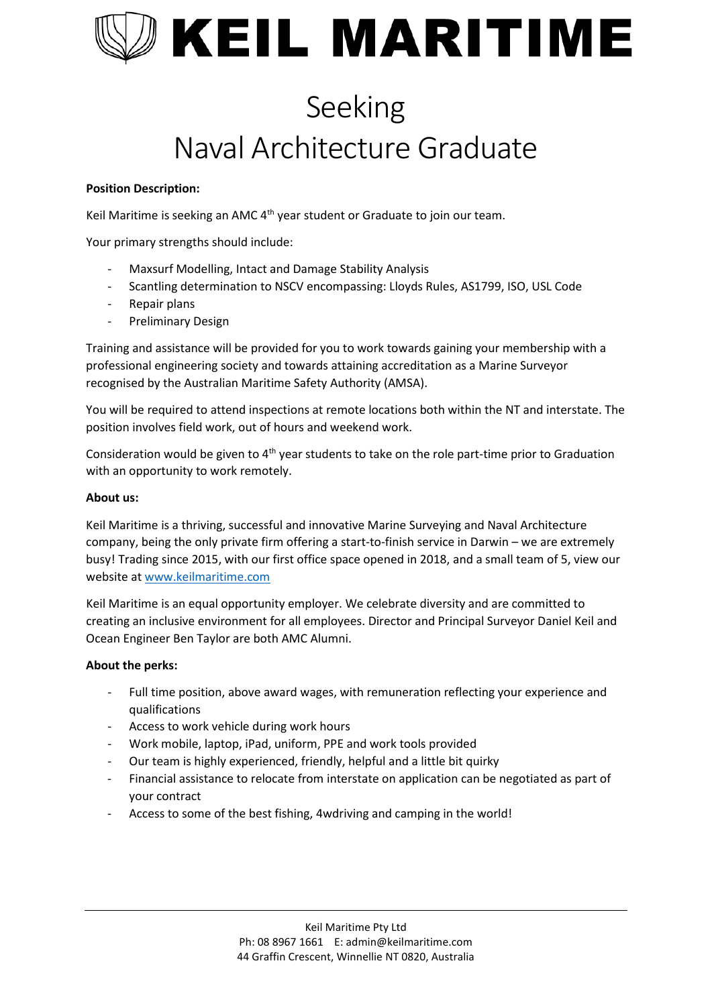

# Seeking Naval Architecture Graduate

## **Position Description:**

Keil Maritime is seeking an AMC 4<sup>th</sup> year student or Graduate to join our team.

Your primary strengths should include:

- Maxsurf Modelling, Intact and Damage Stability Analysis
- Scantling determination to NSCV encompassing: Lloyds Rules, AS1799, ISO, USL Code
- Repair plans
- Preliminary Design

Training and assistance will be provided for you to work towards gaining your membership with a professional engineering society and towards attaining accreditation as a Marine Surveyor recognised by the Australian Maritime Safety Authority (AMSA).

You will be required to attend inspections at remote locations both within the NT and interstate. The position involves field work, out of hours and weekend work.

Consideration would be given to 4<sup>th</sup> year students to take on the role part-time prior to Graduation with an opportunity to work remotely.

#### **About us:**

Keil Maritime is a thriving, successful and innovative Marine Surveying and Naval Architecture company, being the only private firm offering a start-to-finish service in Darwin – we are extremely busy! Trading since 2015, with our first office space opened in 2018, and a small team of 5, view our website at [www.keilmaritime.com](https://keilmaritime.sharepoint.com/sites/Company_Data/Shared%20Documents/KEIL%20MARITIME/Business/LEGENDARY%20STAFF/RECRUITING/www.keilmaritime.com)

Keil Maritime is an equal opportunity employer. We celebrate diversity and are committed to creating an inclusive environment for all employees. Director and Principal Surveyor Daniel Keil and Ocean Engineer Ben Taylor are both AMC Alumni.

### **About the perks:**

- Full time position, above award wages, with remuneration reflecting your experience and qualifications
- Access to work vehicle during work hours
- Work mobile, laptop, iPad, uniform, PPE and work tools provided
- Our team is highly experienced, friendly, helpful and a little bit quirky
- Financial assistance to relocate from interstate on application can be negotiated as part of your contract
- Access to some of the best fishing, 4wdriving and camping in the world!